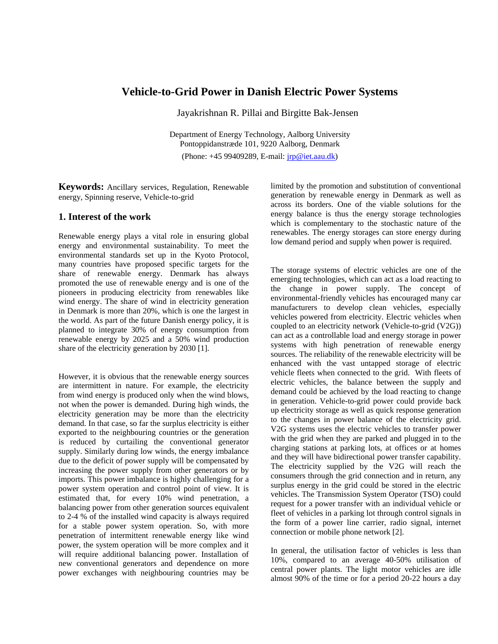## **Vehicle-to-Grid Power in Danish Electric Power Systems**

Jayakrishnan R. Pillai and Birgitte Bak-Jensen

Department of Energy Technology, Aalborg University Pontoppidanstræde 101, 9220 Aalborg, Denmark (Phone: +45 99409289, E-mail: [jrp@iet.aau.dk](mailto:jrp@iet.aau.dk))

**Keywords:** Ancillary services, Regulation, Renewable energy, Spinning reserve, Vehicle-to-grid

#### **1. Interest of the work**

Renewable energy plays a vital role in ensuring global energy and environmental sustainability. To meet the environmental standards set up in the Kyoto Protocol, many countries have proposed specific targets for the share of renewable energy. Denmark has always promoted the use of renewable energy and is one of the pioneers in producing electricity from renewables like wind energy. The share of wind in electricity generation in Denmark is more than 20%, which is one the largest in the world. As part of the future Danish energy policy, it is planned to integrate 30% of energy consumption from renewable energy by 2025 and a 50% wind production share of the electricity generation by 2030 [1].

However, it is obvious that the renewable energy sources are intermittent in nature. For example, the electricity from wind energy is produced only when the wind blows, not when the power is demanded. During high winds, the electricity generation may be more than the electricity demand. In that case, so far the surplus electricity is either exported to the neighbouring countries or the generation is reduced by curtailing the conventional generator supply. Similarly during low winds, the energy imbalance due to the deficit of power supply will be compensated by increasing the power supply from other generators or by imports. This power imbalance is highly challenging for a power system operation and control point of view. It is estimated that, for every 10% wind penetration, a balancing power from other generation sources equivalent to 2-4 % of the installed wind capacity is always required for a stable power system operation. So, with more penetration of intermittent renewable energy like wind power, the system operation will be more complex and it will require additional balancing power. Installation of new conventional generators and dependence on more power exchanges with neighbouring countries may be

limited by the promotion and substitution of conventional generation by renewable energy in Denmark as well as across its borders. One of the viable solutions for the energy balance is thus the energy storage technologies which is complementary to the stochastic nature of the renewables. The energy storages can store energy during low demand period and supply when power is required.

The storage systems of electric vehicles are one of the emerging technologies, which can act as a load reacting to the change in power supply. The concept of environmental-friendly vehicles has encouraged many car manufacturers to develop clean vehicles, especially vehicles powered from electricity. Electric vehicles when coupled to an electricity network (Vehicle-to-grid (V2G)) can act as a controllable load and energy storage in power systems with high penetration of renewable energy sources. The reliability of the renewable electricity will be enhanced with the vast untapped storage of electric vehicle fleets when connected to the grid. With fleets of electric vehicles, the balance between the supply and demand could be achieved by the load reacting to change in generation. Vehicle-to-grid power could provide back up electricity storage as well as quick response generation to the changes in power balance of the electricity grid. V2G systems uses the electric vehicles to transfer power with the grid when they are parked and plugged in to the charging stations at parking lots, at offices or at homes and they will have bidirectional power transfer capability. The electricity supplied by the V2G will reach the consumers through the grid connection and in return, any surplus energy in the grid could be stored in the electric vehicles. The Transmission System Operator (TSO) could request for a power transfer with an individual vehicle or fleet of vehicles in a parking lot through control signals in the form of a power line carrier, radio signal, internet connection or mobile phone network [2].

In general, the utilisation factor of vehicles is less than 10%, compared to an average 40-50% utilisation of central power plants. The light motor vehicles are idle almost 90% of the time or for a period 20-22 hours a day